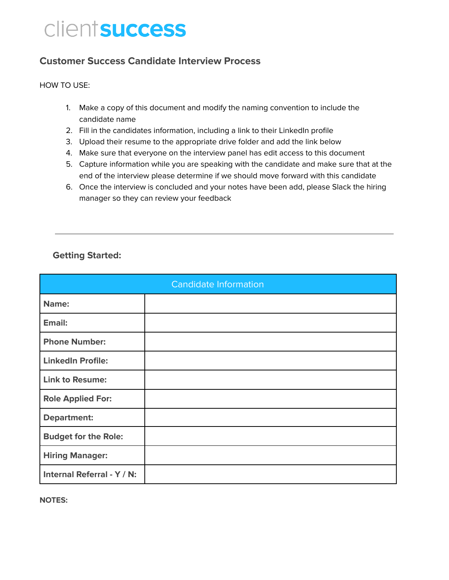# clientsuccess

#### **Customer Success Candidate Interview Process**

#### HOW TO USE:

- 1. Make a copy of this document and modify the naming convention to include the candidate name
- 2. Fill in the candidates information, including a link to their LinkedIn profile
- 3. Upload their resume to the appropriate drive folder and add the link below
- 4. Make sure that everyone on the interview panel has edit access to this document
- 5. Capture information while you are speaking with the candidate and make sure that at the end of the interview please determine if we should move forward with this candidate
- 6. Once the interview is concluded and your notes have been add, please Slack the hiring manager so they can review your feedback

#### **Getting Started:**

| <b>Candidate Information</b> |  |  |
|------------------------------|--|--|
| Name:                        |  |  |
| Email:                       |  |  |
| <b>Phone Number:</b>         |  |  |
| <b>LinkedIn Profile:</b>     |  |  |
| <b>Link to Resume:</b>       |  |  |
| <b>Role Applied For:</b>     |  |  |
| <b>Department:</b>           |  |  |
| <b>Budget for the Role:</b>  |  |  |
| <b>Hiring Manager:</b>       |  |  |
| Internal Referral - Y / N:   |  |  |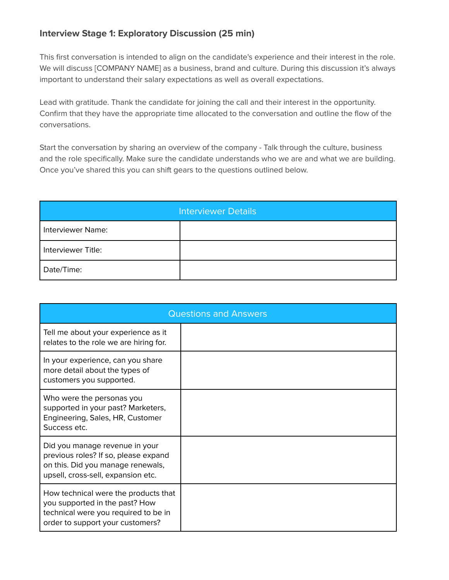#### **Interview Stage 1: Exploratory Discussion (25 min)**

This first conversation is intended to align on the candidate's experience and their interest in the role. We will discuss [COMPANY NAME] as a business, brand and culture. During this discussion it's always important to understand their salary expectations as well as overall expectations.

Lead with gratitude. Thank the candidate for joining the call and their interest in the opportunity. Confirm that they have the appropriate time allocated to the conversation and outline the flow of the conversations.

Start the conversation by sharing an overview of the company - Talk through the culture, business and the role specifically. Make sure the candidate understands who we are and what we are building. Once you've shared this you can shift gears to the questions outlined below.

| <b>Interviewer Details</b> |  |  |
|----------------------------|--|--|
| Interviewer Name:          |  |  |
| Interviewer Title:         |  |  |
| Date/Time:                 |  |  |

| <b>Questions and Answers</b>                                                                                                                       |  |  |
|----------------------------------------------------------------------------------------------------------------------------------------------------|--|--|
| Tell me about your experience as it<br>relates to the role we are hiring for.                                                                      |  |  |
| In your experience, can you share<br>more detail about the types of<br>customers you supported.                                                    |  |  |
| Who were the personas you<br>supported in your past? Marketers,<br>Engineering, Sales, HR, Customer<br>Success etc.                                |  |  |
| Did you manage revenue in your<br>previous roles? If so, please expand<br>on this. Did you manage renewals,<br>upsell, cross-sell, expansion etc.  |  |  |
| How technical were the products that<br>you supported in the past? How<br>technical were you required to be in<br>order to support your customers? |  |  |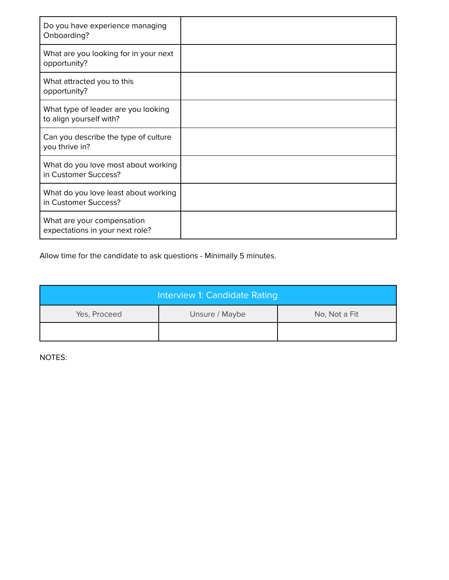| Do you have experience managing<br>Onboarding?                 |  |
|----------------------------------------------------------------|--|
| What are you looking for in your next<br>opportunity?          |  |
| What attracted you to this<br>opportunity?                     |  |
| What type of leader are you looking<br>to align yourself with? |  |
| Can you describe the type of culture<br>you thrive in?         |  |
| What do you love most about working<br>in Customer Success?    |  |
| What do you love least about working<br>in Customer Success?   |  |
| What are your compensation<br>expectations in your next role?  |  |

| Interview 1: Candidate Rating |                |               |
|-------------------------------|----------------|---------------|
| Yes, Proceed                  | Unsure / Maybe | No, Not a Fit |
|                               |                |               |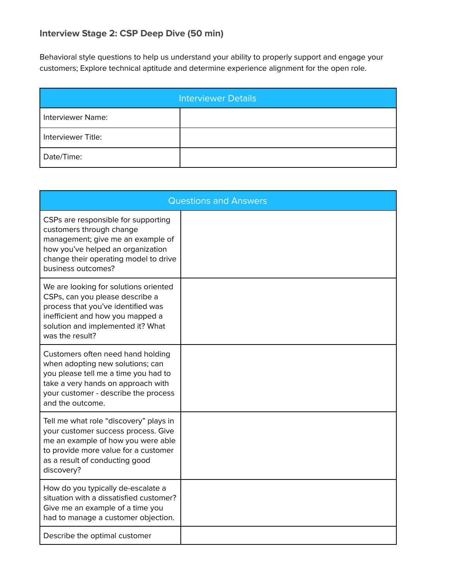## **Interview Stage 2: CSP Deep Dive (50 min)**

Behavioral style questions to help us understand your ability to properly support and engage your customers; Explore technical aptitude and determine experience alignment for the open role.

| Interviewer Details |  |  |
|---------------------|--|--|
| Interviewer Name:   |  |  |
| Interviewer Title:  |  |  |
| Date/Time:          |  |  |

| <b>Questions and Answers</b>                                                                                                                                                                                    |  |  |
|-----------------------------------------------------------------------------------------------------------------------------------------------------------------------------------------------------------------|--|--|
| CSPs are responsible for supporting<br>customers through change<br>management; give me an example of<br>how you've helped an organization<br>change their operating model to drive<br>business outcomes?        |  |  |
| We are looking for solutions oriented<br>CSPs, can you please describe a<br>process that you've identified was<br>inefficient and how you mapped a<br>solution and implemented it? What<br>was the result?      |  |  |
| Customers often need hand holding<br>when adopting new solutions; can<br>you please tell me a time you had to<br>take a very hands on approach with<br>your customer - describe the process<br>and the outcome. |  |  |
| Tell me what role "discovery" plays in<br>your customer success process. Give<br>me an example of how you were able<br>to provide more value for a customer<br>as a result of conducting good<br>discovery?     |  |  |
| How do you typically de-escalate a<br>situation with a dissatisfied customer?<br>Give me an example of a time you<br>had to manage a customer objection.                                                        |  |  |
| Describe the optimal customer                                                                                                                                                                                   |  |  |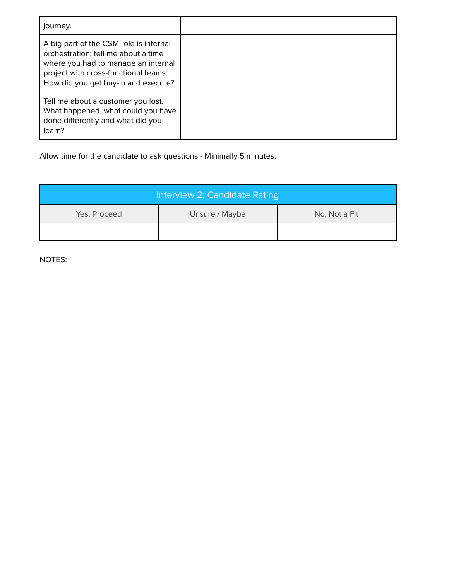| journey.                                                                                                                                                                                            |  |
|-----------------------------------------------------------------------------------------------------------------------------------------------------------------------------------------------------|--|
| A big part of the CSM role is internal<br>orchestration; tell me about a time<br>where you had to manage an internal<br>project with cross-functional teams.<br>How did you get buy-in and execute? |  |
| Tell me about a customer you lost.<br>What happened, what could you have<br>done differently and what did you<br>learn?                                                                             |  |

| Interview 2: Candidate Rating |                |               |
|-------------------------------|----------------|---------------|
| Yes, Proceed                  | Unsure / Maybe | No, Not a Fit |
|                               |                |               |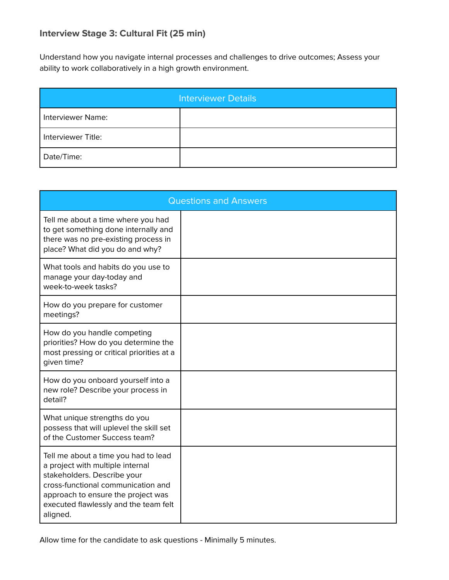#### **Interview Stage 3: Cultural Fit (25 min)**

Understand how you navigate internal processes and challenges to drive outcomes; Assess your ability to work collaboratively in a high growth environment.

| Interviewer Details |  |  |
|---------------------|--|--|
| Interviewer Name:   |  |  |
| Interviewer Title:  |  |  |
| Date/Time:          |  |  |

| <b>Questions and Answers</b>                                                                                                                                                                                                             |  |  |
|------------------------------------------------------------------------------------------------------------------------------------------------------------------------------------------------------------------------------------------|--|--|
| Tell me about a time where you had<br>to get something done internally and<br>there was no pre-existing process in<br>place? What did you do and why?                                                                                    |  |  |
| What tools and habits do you use to<br>manage your day-today and<br>week-to-week tasks?                                                                                                                                                  |  |  |
| How do you prepare for customer<br>meetings?                                                                                                                                                                                             |  |  |
| How do you handle competing<br>priorities? How do you determine the<br>most pressing or critical priorities at a<br>given time?                                                                                                          |  |  |
| How do you onboard yourself into a<br>new role? Describe your process in<br>detail?                                                                                                                                                      |  |  |
| What unique strengths do you<br>possess that will uplevel the skill set<br>of the Customer Success team?                                                                                                                                 |  |  |
| Tell me about a time you had to lead<br>a project with multiple internal<br>stakeholders. Describe your<br>cross-functional communication and<br>approach to ensure the project was<br>executed flawlessly and the team felt<br>aligned. |  |  |

Allow time for the candidate to ask questions - Minimally 5 minutes.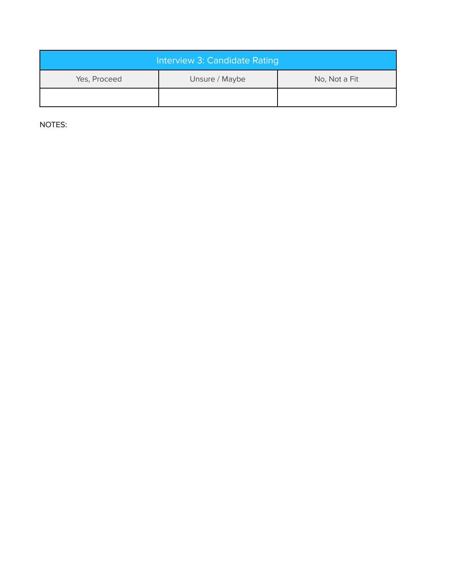| Interview 3: Candidate Rating |                |               |
|-------------------------------|----------------|---------------|
| Yes, Proceed                  | Unsure / Maybe | No, Not a Fit |
|                               |                |               |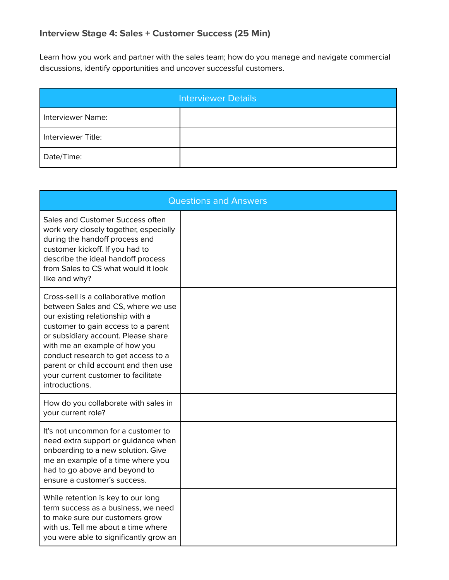Learn how you work and partner with the sales team; how do you manage and navigate commercial discussions, identify opportunities and uncover successful customers.

| Interviewer Details |  |  |
|---------------------|--|--|
| Interviewer Name:   |  |  |
| Interviewer Title:  |  |  |
| Date/Time:          |  |  |

| <b>Questions and Answers</b>                                                                                                                                                                                                                                                                                                                                          |  |  |
|-----------------------------------------------------------------------------------------------------------------------------------------------------------------------------------------------------------------------------------------------------------------------------------------------------------------------------------------------------------------------|--|--|
| Sales and Customer Success often<br>work very closely together, especially<br>during the handoff process and<br>customer kickoff. If you had to<br>describe the ideal handoff process<br>from Sales to CS what would it look<br>like and why?                                                                                                                         |  |  |
| Cross-sell is a collaborative motion<br>between Sales and CS, where we use<br>our existing relationship with a<br>customer to gain access to a parent<br>or subsidiary account. Please share<br>with me an example of how you<br>conduct research to get access to a<br>parent or child account and then use<br>your current customer to facilitate<br>introductions. |  |  |
| How do you collaborate with sales in<br>your current role?                                                                                                                                                                                                                                                                                                            |  |  |
| It's not uncommon for a customer to<br>need extra support or guidance when<br>onboarding to a new solution. Give<br>me an example of a time where you<br>had to go above and beyond to<br>ensure a customer's success.                                                                                                                                                |  |  |
| While retention is key to our long<br>term success as a business, we need<br>to make sure our customers grow<br>with us. Tell me about a time where<br>you were able to significantly grow an                                                                                                                                                                         |  |  |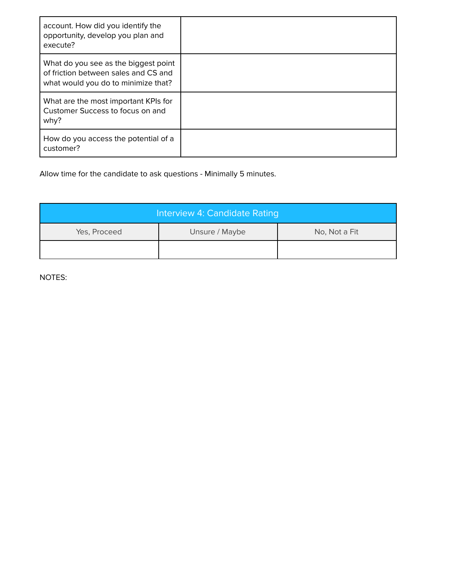| account. How did you identify the<br>opportunity, develop you plan and<br>execute?                                  |  |
|---------------------------------------------------------------------------------------------------------------------|--|
| What do you see as the biggest point<br>of friction between sales and CS and<br>what would you do to minimize that? |  |
| What are the most important KPIs for<br>Customer Success to focus on and<br>why?                                    |  |
| How do you access the potential of a<br>customer?                                                                   |  |

| Interview 4: Candidate Rating |                |               |
|-------------------------------|----------------|---------------|
| Yes, Proceed                  | Unsure / Maybe | No, Not a Fit |
|                               |                |               |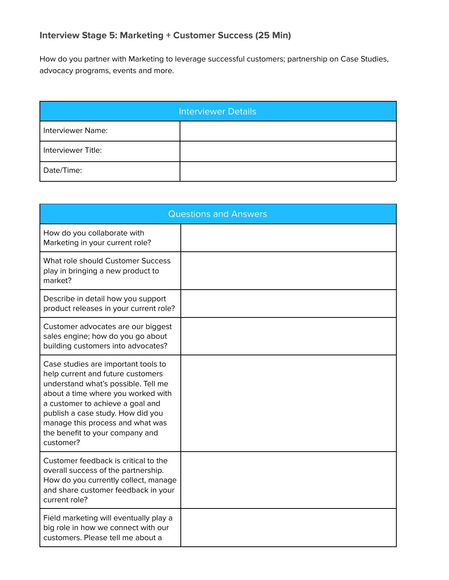### **Interview Stage 5: Marketing + Customer Success (25 Min)**

How do you partner with Marketing to leverage successful customers; partnership on Case Studies, advocacy programs, events and more.

| <b>Interviewer Details</b> |  |  |
|----------------------------|--|--|
| Interviewer Name:          |  |  |
| Interviewer Title:         |  |  |
| Date/Time:                 |  |  |

| <b>Questions and Answers</b>                                                                                                                                                                                                                                                                                       |  |  |
|--------------------------------------------------------------------------------------------------------------------------------------------------------------------------------------------------------------------------------------------------------------------------------------------------------------------|--|--|
| How do you collaborate with<br>Marketing in your current role?                                                                                                                                                                                                                                                     |  |  |
| What role should Customer Success<br>play in bringing a new product to<br>market?                                                                                                                                                                                                                                  |  |  |
| Describe in detail how you support<br>product releases in your current role?                                                                                                                                                                                                                                       |  |  |
| Customer advocates are our biggest<br>sales engine; how do you go about<br>building customers into advocates?                                                                                                                                                                                                      |  |  |
| Case studies are important tools to<br>help current and future customers<br>understand what's possible. Tell me<br>about a time where you worked with<br>a customer to achieve a goal and<br>publish a case study. How did you<br>manage this process and what was<br>the benefit to your company and<br>customer? |  |  |
| Customer feedback is critical to the<br>overall success of the partnership.<br>How do you currently collect, manage<br>and share customer feedback in your<br>current role?                                                                                                                                        |  |  |
| Field marketing will eventually play a<br>big role in how we connect with our<br>customers. Please tell me about a                                                                                                                                                                                                 |  |  |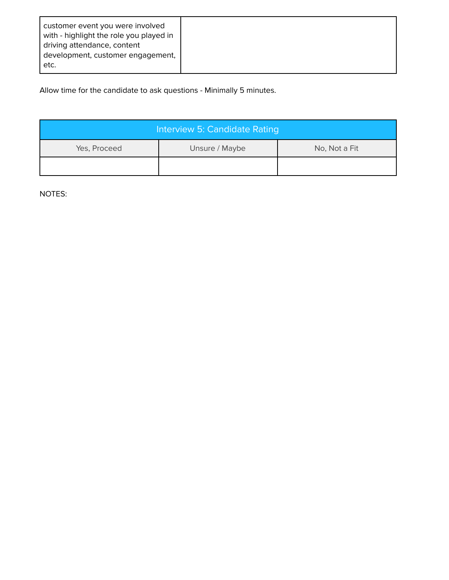| customer event you were involved<br>with - highlight the role you played in<br>driving attendance, content<br>development, customer engagement,<br>etc. |  |
|---------------------------------------------------------------------------------------------------------------------------------------------------------|--|
|---------------------------------------------------------------------------------------------------------------------------------------------------------|--|

| Interview 5: Candidate Rating |                |               |
|-------------------------------|----------------|---------------|
| Yes, Proceed                  | Unsure / Maybe | No, Not a Fit |
|                               |                |               |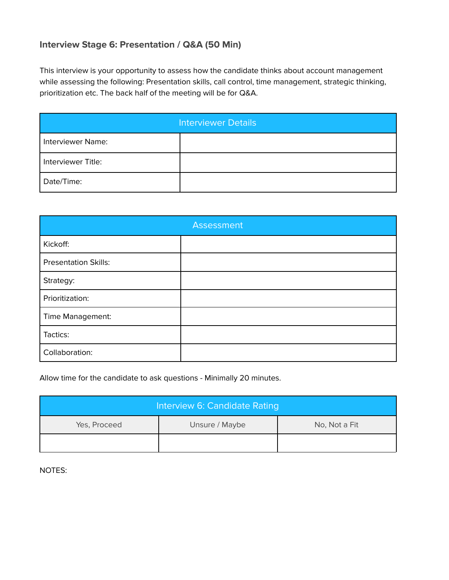#### **Interview Stage 6: Presentation / Q&A (50 Min)**

This interview is your opportunity to assess how the candidate thinks about account management while assessing the following: Presentation skills, call control, time management, strategic thinking, prioritization etc. The back half of the meeting will be for Q&A.

| <b>Interviewer Details</b> |  |  |
|----------------------------|--|--|
| <b>Interviewer Name:</b>   |  |  |
| Interviewer Title:         |  |  |
| Date/Time:                 |  |  |

| <b>Assessment</b>           |  |  |
|-----------------------------|--|--|
| Kickoff:                    |  |  |
| <b>Presentation Skills:</b> |  |  |
| Strategy:                   |  |  |
| Prioritization:             |  |  |
| Time Management:            |  |  |
| Tactics:                    |  |  |
| Collaboration:              |  |  |

Allow time for the candidate to ask questions - Minimally 20 minutes.

| Interview 6: Candidate Rating |                |               |
|-------------------------------|----------------|---------------|
| Yes, Proceed                  | Unsure / Maybe | No, Not a Fit |
|                               |                |               |